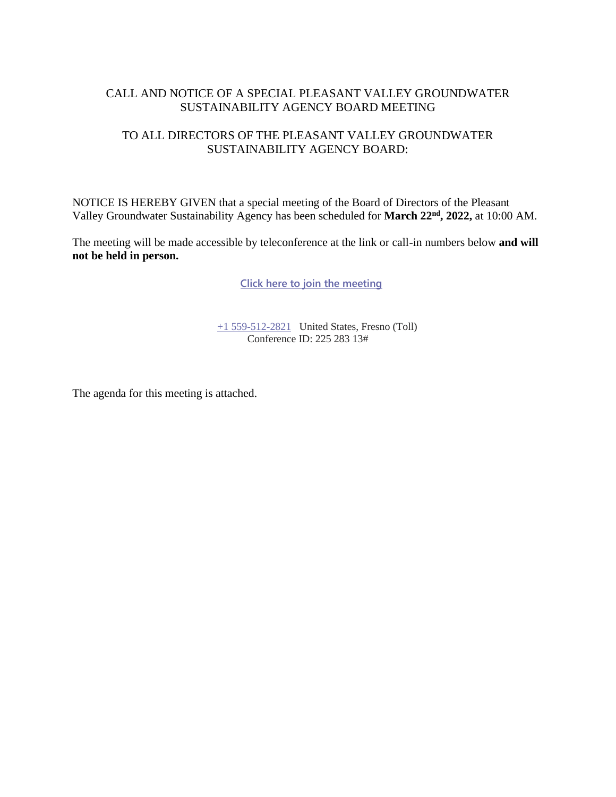## CALL AND NOTICE OF A SPECIAL PLEASANT VALLEY GROUNDWATER SUSTAINABILITY AGENCY BOARD MEETING

## TO ALL DIRECTORS OF THE PLEASANT VALLEY GROUNDWATER SUSTAINABILITY AGENCY BOARD:

NOTICE IS HEREBY GIVEN that a special meeting of the Board of Directors of the Pleasant Valley Groundwater Sustainability Agency has been scheduled for **March 22nd, 2022,** at 10:00 AM.

The meeting will be made accessible by teleconference at the link or call-in numbers below **and will not be held in person.**

**[Click here to join the meeting](https://teams.microsoft.com/l/meetup-join/19%3ameeting_MzE4MTFjODQtZjY2ZS00MmYyLWIzNDUtZjg2MDFmODhhOWUy%40thread.v2/0?context=%7b%22Tid%22%3a%22a6cf659f-2360-4ff9-9e8d-045f48434ada%22%2c%22Oid%22%3a%225aeb912a-1b48-4d0b-94f5-be7893f4a09c%22%7d)**

 $+1$  559-512-2821 United States, Fresno (Toll) Conference ID: 225 283 13#

The agenda for this meeting is attached.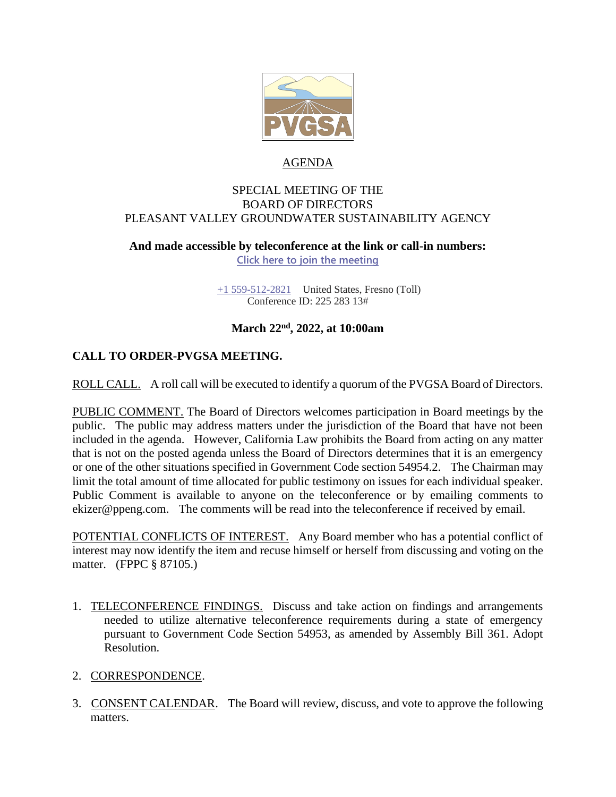

### AGENDA

#### SPECIAL MEETING OF THE BOARD OF DIRECTORS PLEASANT VALLEY GROUNDWATER SUSTAINABILITY AGENCY

# **And made accessible by teleconference at the link or call-in numbers:**

**[Click here to join the meeting](https://teams.microsoft.com/l/meetup-join/19%3ameeting_MzE4MTFjODQtZjY2ZS00MmYyLWIzNDUtZjg2MDFmODhhOWUy%40thread.v2/0?context=%7b%22Tid%22%3a%22a6cf659f-2360-4ff9-9e8d-045f48434ada%22%2c%22Oid%22%3a%225aeb912a-1b48-4d0b-94f5-be7893f4a09c%22%7d)**

[+1 559-512-2821](tel:+15595122821,,85232084# ) United States, Fresno (Toll) Conference ID: 225 283 13#

# **March 22nd , 2022, at 10:00am**

# **CALL TO ORDER-PVGSA MEETING.**

ROLL CALL. A roll call will be executed to identify a quorum of the PVGSA Board of Directors.

PUBLIC COMMENT. The Board of Directors welcomes participation in Board meetings by the public. The public may address matters under the jurisdiction of the Board that have not been included in the agenda. However, California Law prohibits the Board from acting on any matter that is not on the posted agenda unless the Board of Directors determines that it is an emergency or one of the other situations specified in Government Code section 54954.2. The Chairman may limit the total amount of time allocated for public testimony on issues for each individual speaker. Public Comment is available to anyone on the teleconference or by emailing comments to ekizer@ppeng.com. The comments will be read into the teleconference if received by email.

POTENTIAL CONFLICTS OF INTEREST. Any Board member who has a potential conflict of interest may now identify the item and recuse himself or herself from discussing and voting on the matter. (FPPC § 87105.)

1. TELECONFERENCE FINDINGS. Discuss and take action on findings and arrangements needed to utilize alternative teleconference requirements during a state of emergency pursuant to Government Code Section 54953, as amended by Assembly Bill 361. Adopt Resolution.

## 2. CORRESPONDENCE.

3. CONSENT CALENDAR. The Board will review, discuss, and vote to approve the following matters.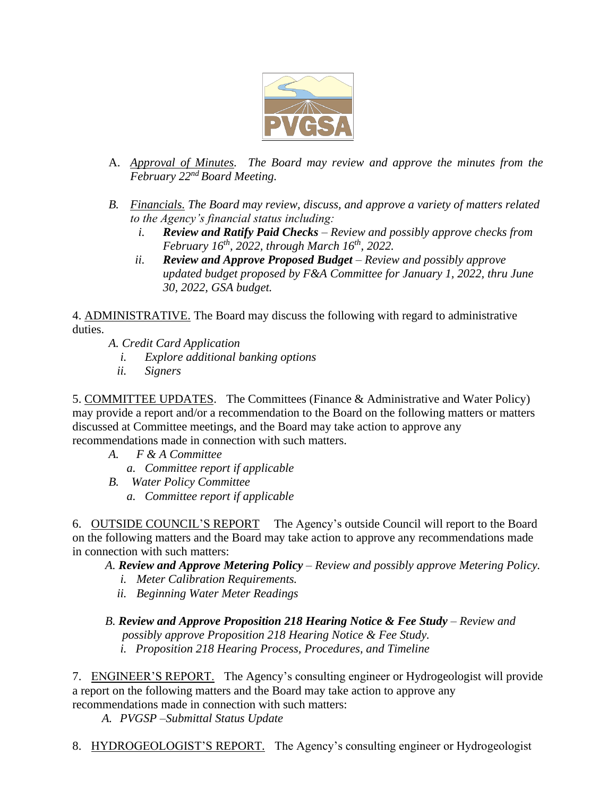

- A. *Approval of Minutes. The Board may review and approve the minutes from the February 22nd Board Meeting.*
- *B. Financials. The Board may review, discuss, and approve a variety of matters related to the Agency's financial status including:* 
	- *i. Review and Ratify Paid Checks – Review and possibly approve checks from February 16th, 2022, through March 16th, 2022.*
	- *ii. Review and Approve Proposed Budget – Review and possibly approve updated budget proposed by F&A Committee for January 1, 2022, thru June 30, 2022, GSA budget.*

4. ADMINISTRATIVE. The Board may discuss the following with regard to administrative duties.

- *A. Credit Card Application*
	- *i. Explore additional banking options*
	- *ii. Signers*

5. COMMITTEE UPDATES. The Committees (Finance & Administrative and Water Policy) may provide a report and/or a recommendation to the Board on the following matters or matters discussed at Committee meetings, and the Board may take action to approve any recommendations made in connection with such matters.

- *A. F & A Committee*
	- *a. Committee report if applicable*
- *B. Water Policy Committee*
	- *a. Committee report if applicable*

6. OUTSIDE COUNCIL'S REPORT The Agency's outside Council will report to the Board on the following matters and the Board may take action to approve any recommendations made in connection with such matters:

*A. Review and Approve Metering Policy – Review and possibly approve Metering Policy.*

- *i. Meter Calibration Requirements.*
- *ii. Beginning Water Meter Readings*

*B. Review and Approve Proposition 218 Hearing Notice & Fee Study – Review and possibly approve Proposition 218 Hearing Notice & Fee Study. i. Proposition 218 Hearing Process, Procedures, and Timeline*

7. ENGINEER'S REPORT. The Agency's consulting engineer or Hydrogeologist will provide a report on the following matters and the Board may take action to approve any recommendations made in connection with such matters:

*A. PVGSP –Submittal Status Update*

8. HYDROGEOLOGIST'S REPORT. The Agency's consulting engineer or Hydrogeologist